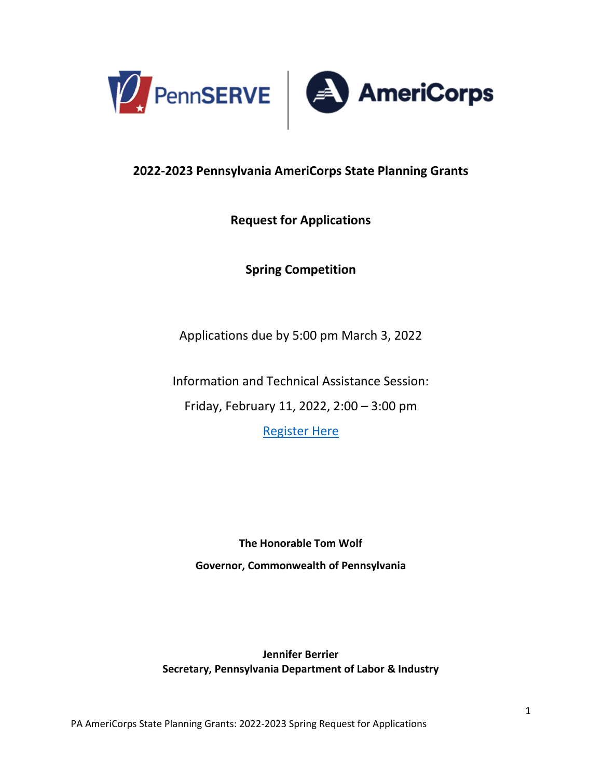

## **2022-2023 Pennsylvania AmeriCorps State Planning Grants**

## **Request for Applications**

**Spring Competition**

Applications due by 5:00 pm March 3, 2022

Information and Technical Assistance Session:

Friday, February 11, 2022, 2:00 – 3:00 pm

[Register Here](https://www.surveymonkey.com/r/PlanningTechAssist)

**The Honorable Tom Wolf Governor, Commonwealth of Pennsylvania**

**Jennifer Berrier Secretary, Pennsylvania Department of Labor & Industry**

PA AmeriCorps State Planning Grants: 2022-2023 Spring Request for Applications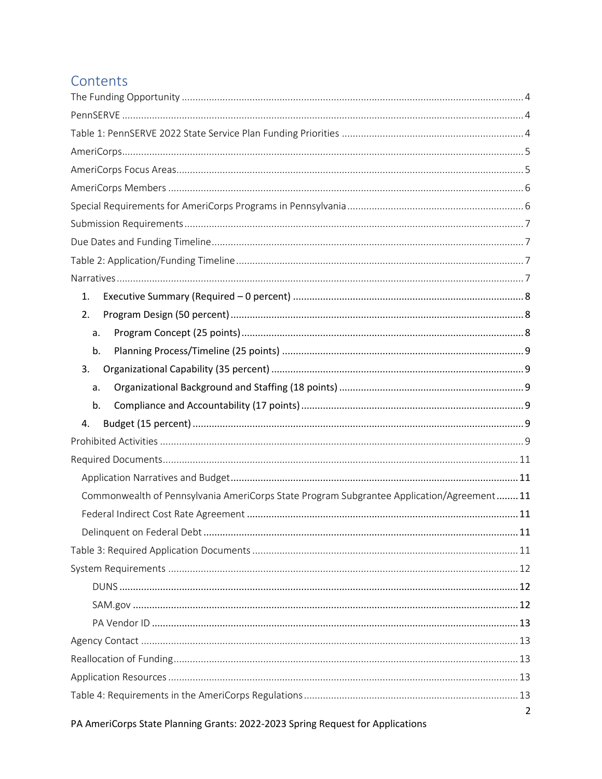# Contents

| 1.                                                                                       |  |  |  |  |
|------------------------------------------------------------------------------------------|--|--|--|--|
| 2.                                                                                       |  |  |  |  |
| a.                                                                                       |  |  |  |  |
| b.                                                                                       |  |  |  |  |
| 3.                                                                                       |  |  |  |  |
| a.                                                                                       |  |  |  |  |
| b.                                                                                       |  |  |  |  |
| 4.                                                                                       |  |  |  |  |
|                                                                                          |  |  |  |  |
|                                                                                          |  |  |  |  |
|                                                                                          |  |  |  |  |
| Commonwealth of Pennsylvania AmeriCorps State Program Subgrantee Application/Agreement11 |  |  |  |  |
|                                                                                          |  |  |  |  |
| 11                                                                                       |  |  |  |  |
|                                                                                          |  |  |  |  |
|                                                                                          |  |  |  |  |
|                                                                                          |  |  |  |  |
|                                                                                          |  |  |  |  |
|                                                                                          |  |  |  |  |
|                                                                                          |  |  |  |  |
|                                                                                          |  |  |  |  |
|                                                                                          |  |  |  |  |
|                                                                                          |  |  |  |  |
| $\overline{2}$                                                                           |  |  |  |  |

PA AmeriCorps State Planning Grants: 2022-2023 Spring Request for Applications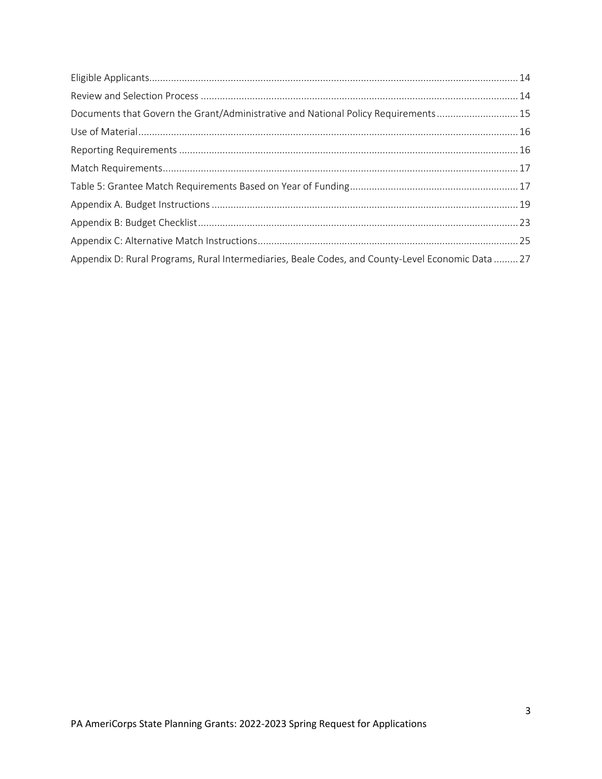<span id="page-2-0"></span>

| Documents that Govern the Grant/Administrative and National Policy Requirements 15                |  |
|---------------------------------------------------------------------------------------------------|--|
|                                                                                                   |  |
|                                                                                                   |  |
|                                                                                                   |  |
|                                                                                                   |  |
|                                                                                                   |  |
|                                                                                                   |  |
|                                                                                                   |  |
| Appendix D: Rural Programs, Rural Intermediaries, Beale Codes, and County-Level Economic Data  27 |  |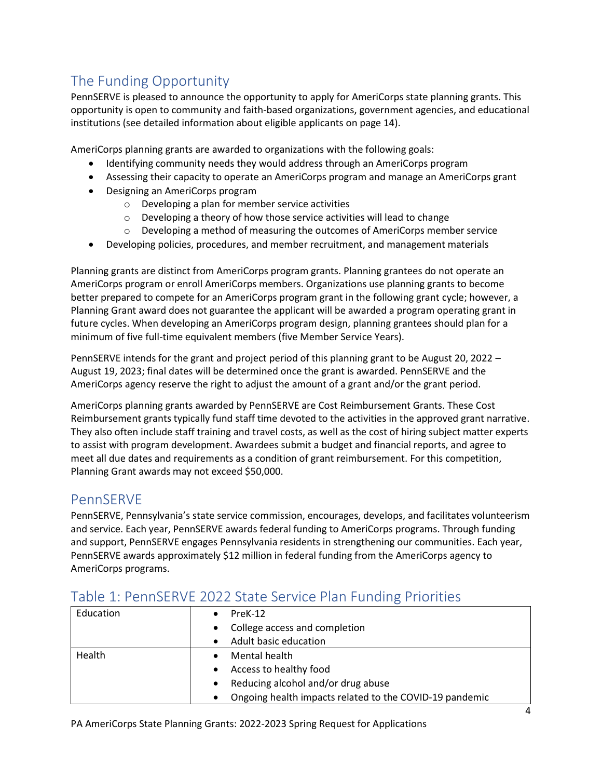# The Funding Opportunity

PennSERVE is pleased to announce the opportunity to apply for AmeriCorps state planning grants. This opportunity is open to community and faith-based organizations, government agencies, and educational institutions (see detailed information about eligible applicants on page 14).

AmeriCorps planning grants are awarded to organizations with the following goals:

- Identifying community needs they would address through an AmeriCorps program
- Assessing their capacity to operate an AmeriCorps program and manage an AmeriCorps grant
- Designing an AmeriCorps program
	- o Developing a plan for member service activities
	- o Developing a theory of how those service activities will lead to change
	- $\circ$  Developing a method of measuring the outcomes of AmeriCorps member service
- Developing policies, procedures, and member recruitment, and management materials

Planning grants are distinct from AmeriCorps program grants. Planning grantees do not operate an AmeriCorps program or enroll AmeriCorps members. Organizations use planning grants to become better prepared to compete for an AmeriCorps program grant in the following grant cycle; however, a Planning Grant award does not guarantee the applicant will be awarded a program operating grant in future cycles. When developing an AmeriCorps program design, planning grantees should plan for a minimum of five full-time equivalent members (five Member Service Years).

PennSERVE intends for the grant and project period of this planning grant to be August 20, 2022 – August 19, 2023; final dates will be determined once the grant is awarded. PennSERVE and the AmeriCorps agency reserve the right to adjust the amount of a grant and/or the grant period.

AmeriCorps planning grants awarded by PennSERVE are Cost Reimbursement Grants. These Cost Reimbursement grants typically fund staff time devoted to the activities in the approved grant narrative. They also often include staff training and travel costs, as well as the cost of hiring subject matter experts to assist with program development. Awardees submit a budget and financial reports, and agree to meet all due dates and requirements as a condition of grant reimbursement. For this competition, Planning Grant awards may not exceed \$50,000.

# <span id="page-3-0"></span>PennSERVE

PennSERVE, Pennsylvania's state service commission, encourages, develops, and facilitates volunteerism and service. Each year, PennSERVE awards federal funding to AmeriCorps programs. Through funding and support, PennSERVE engages Pennsylvania residents in strengthening our communities. Each year, PennSERVE awards approximately \$12 million in federal funding from the AmeriCorps agency to AmeriCorps programs.

| Education | $PreK-12$                                                            |  |  |  |  |
|-----------|----------------------------------------------------------------------|--|--|--|--|
|           | College access and completion<br>$\bullet$                           |  |  |  |  |
|           | Adult basic education                                                |  |  |  |  |
| Health    | Mental health                                                        |  |  |  |  |
|           | Access to healthy food                                               |  |  |  |  |
|           | Reducing alcohol and/or drug abuse<br>$\bullet$                      |  |  |  |  |
|           | Ongoing health impacts related to the COVID-19 pandemic<br>$\bullet$ |  |  |  |  |
|           |                                                                      |  |  |  |  |

# <span id="page-3-1"></span>Table 1: PennSERVE 2022 State Service Plan Funding Priorities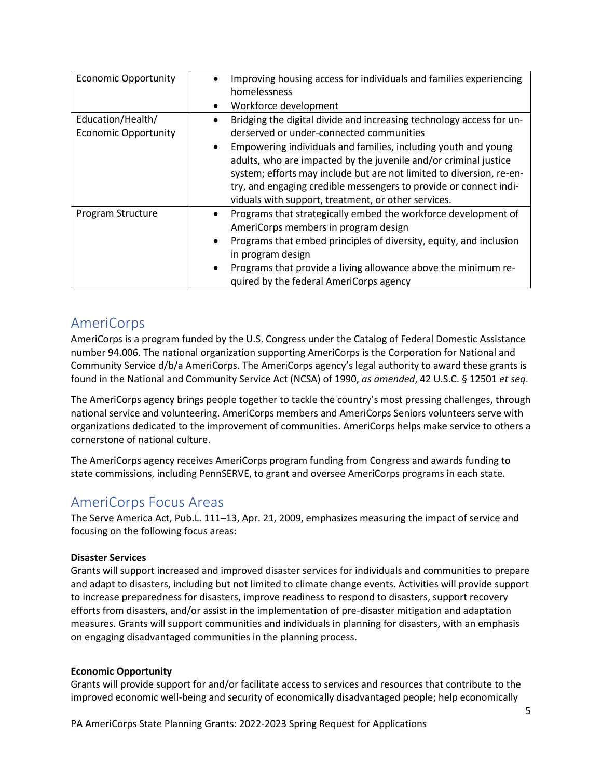| <b>Economic Opportunity</b>                      | Improving housing access for individuals and families experiencing<br>homelessness<br>Workforce development<br>$\bullet$                                                                                                                                                                                                                              |
|--------------------------------------------------|-------------------------------------------------------------------------------------------------------------------------------------------------------------------------------------------------------------------------------------------------------------------------------------------------------------------------------------------------------|
| Education/Health/<br><b>Economic Opportunity</b> | Bridging the digital divide and increasing technology access for un-<br>derserved or under-connected communities                                                                                                                                                                                                                                      |
|                                                  | Empowering individuals and families, including youth and young<br>$\bullet$<br>adults, who are impacted by the juvenile and/or criminal justice<br>system; efforts may include but are not limited to diversion, re-en-<br>try, and engaging credible messengers to provide or connect indi-<br>viduals with support, treatment, or other services.   |
| Program Structure                                | Programs that strategically embed the workforce development of<br>$\bullet$<br>AmeriCorps members in program design<br>Programs that embed principles of diversity, equity, and inclusion<br>$\bullet$<br>in program design<br>Programs that provide a living allowance above the minimum re-<br>$\bullet$<br>quired by the federal AmeriCorps agency |

# <span id="page-4-0"></span>AmeriCorps

AmeriCorps is a program funded by the U.S. Congress under the Catalog of Federal Domestic Assistance number 94.006. The national organization supporting AmeriCorps is the Corporation for National and Community Service d/b/a AmeriCorps. The AmeriCorps agency's legal authority to award these grants is found in the National and Community Service Act (NCSA) of 1990, *as amended*, 42 U.S.C. § 12501 *et seq*.

The AmeriCorps agency brings people together to tackle the country's most pressing challenges, through national service and volunteering. AmeriCorps members and AmeriCorps Seniors volunteers serve with organizations dedicated to the improvement of communities. AmeriCorps helps make service to others a cornerstone of national culture.

The AmeriCorps agency receives AmeriCorps program funding from Congress and awards funding to state commissions, including PennSERVE, to grant and oversee AmeriCorps programs in each state.

# <span id="page-4-1"></span>AmeriCorps Focus Areas

The Serve America Act, Pub.L. 111–13, Apr. 21, 2009, emphasizes measuring the impact of service and focusing on the following focus areas:

### **Disaster Services**

Grants will support increased and improved disaster services for individuals and communities to prepare and adapt to disasters, including but not limited to climate change events. Activities will provide support to increase preparedness for disasters, improve readiness to respond to disasters, support recovery efforts from disasters, and/or assist in the implementation of pre-disaster mitigation and adaptation measures. Grants will support communities and individuals in planning for disasters, with an emphasis on engaging disadvantaged communities in the planning process.

#### **Economic Opportunity**

Grants will provide support for and/or facilitate access to services and resources that contribute to the improved economic well-being and security of economically disadvantaged people; help economically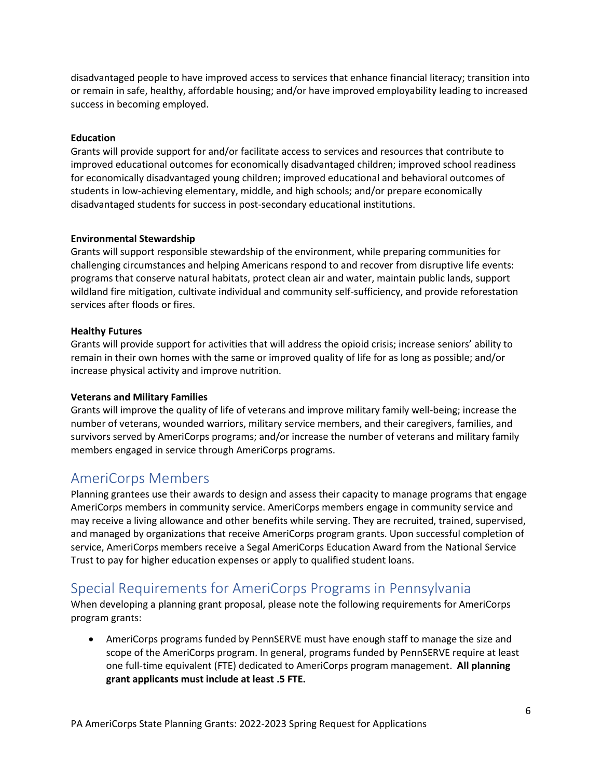disadvantaged people to have improved access to services that enhance financial literacy; transition into or remain in safe, healthy, affordable housing; and/or have improved employability leading to increased success in becoming employed.

#### **Education**

Grants will provide support for and/or facilitate access to services and resources that contribute to improved educational outcomes for economically disadvantaged children; improved school readiness for economically disadvantaged young children; improved educational and behavioral outcomes of students in low-achieving elementary, middle, and high schools; and/or prepare economically disadvantaged students for success in post-secondary educational institutions.

#### **Environmental Stewardship**

Grants will support responsible stewardship of the environment, while preparing communities for challenging circumstances and helping Americans respond to and recover from disruptive life events: programs that conserve natural habitats, protect clean air and water, maintain public lands, support wildland fire mitigation, cultivate individual and community self-sufficiency, and provide reforestation services after floods or fires.

#### **Healthy Futures**

Grants will provide support for activities that will address the opioid crisis; increase seniors' ability to remain in their own homes with the same or improved quality of life for as long as possible; and/or increase physical activity and improve nutrition.

#### **Veterans and Military Families**

Grants will improve the quality of life of veterans and improve military family well-being; increase the number of veterans, wounded warriors, military service members, and their caregivers, families, and survivors served by AmeriCorps programs; and/or increase the number of veterans and military family members engaged in service through AmeriCorps programs.

## <span id="page-5-0"></span>AmeriCorps Members

Planning grantees use their awards to design and assess their capacity to manage programs that engage AmeriCorps members in community service. AmeriCorps members engage in community service and may receive a living allowance and other benefits while serving. They are recruited, trained, supervised, and managed by organizations that receive AmeriCorps program grants. Upon successful completion of service, AmeriCorps members receive a Segal AmeriCorps Education Award from the National Service Trust to pay for higher education expenses or apply to qualified student loans.

## <span id="page-5-1"></span>Special Requirements for AmeriCorps Programs in Pennsylvania

When developing a planning grant proposal, please note the following requirements for AmeriCorps program grants:

• AmeriCorps programs funded by PennSERVE must have enough staff to manage the size and scope of the AmeriCorps program. In general, programs funded by PennSERVE require at least one full-time equivalent (FTE) dedicated to AmeriCorps program management. **All planning grant applicants must include at least .5 FTE.**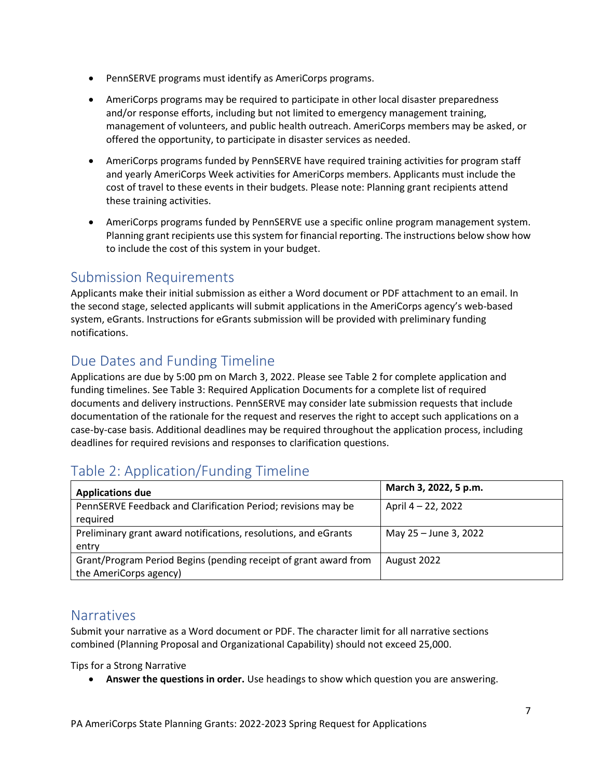- PennSERVE programs must identify as AmeriCorps programs.
- AmeriCorps programs may be required to participate in other local disaster preparedness and/or response efforts, including but not limited to emergency management training, management of volunteers, and public health outreach. AmeriCorps members may be asked, or offered the opportunity, to participate in disaster services as needed.
- AmeriCorps programs funded by PennSERVE have required training activities for program staff and yearly AmeriCorps Week activities for AmeriCorps members. Applicants must include the cost of travel to these events in their budgets. Please note: Planning grant recipients attend these training activities.
- AmeriCorps programs funded by PennSERVE use a specific online program management system. Planning grant recipients use this system for financial reporting. The instructions below show how to include the cost of this system in your budget.

# <span id="page-6-0"></span>Submission Requirements

Applicants make their initial submission as either a Word document or PDF attachment to an email. In the second stage, selected applicants will submit applications in the AmeriCorps agency's web-based system, eGrants. Instructions for eGrants submission will be provided with preliminary funding notifications.

# <span id="page-6-1"></span>Due Dates and Funding Timeline

Applications are due by 5:00 pm on March 3, 2022. Please see Table 2 for complete application and funding timelines. See Table 3: Required Application Documents for a complete list of required documents and delivery instructions. PennSERVE may consider late submission requests that include documentation of the rationale for the request and reserves the right to accept such applications on a case-by-case basis. Additional deadlines may be required throughout the application process, including deadlines for required revisions and responses to clarification questions.

# <span id="page-6-2"></span>Table 2: Application/Funding Timeline

| <b>Applications due</b>                                          | March 3, 2022, 5 p.m. |
|------------------------------------------------------------------|-----------------------|
| PennSERVE Feedback and Clarification Period; revisions may be    | April 4 - 22, 2022    |
| required                                                         |                       |
| Preliminary grant award notifications, resolutions, and eGrants  | May 25 - June 3, 2022 |
| entry                                                            |                       |
| Grant/Program Period Begins (pending receipt of grant award from | August 2022           |
| the AmeriCorps agency)                                           |                       |

## <span id="page-6-3"></span>Narratives

Submit your narrative as a Word document or PDF. The character limit for all narrative sections combined (Planning Proposal and Organizational Capability) should not exceed 25,000.

Tips for a Strong Narrative

• **Answer the questions in order.** Use headings to show which question you are answering.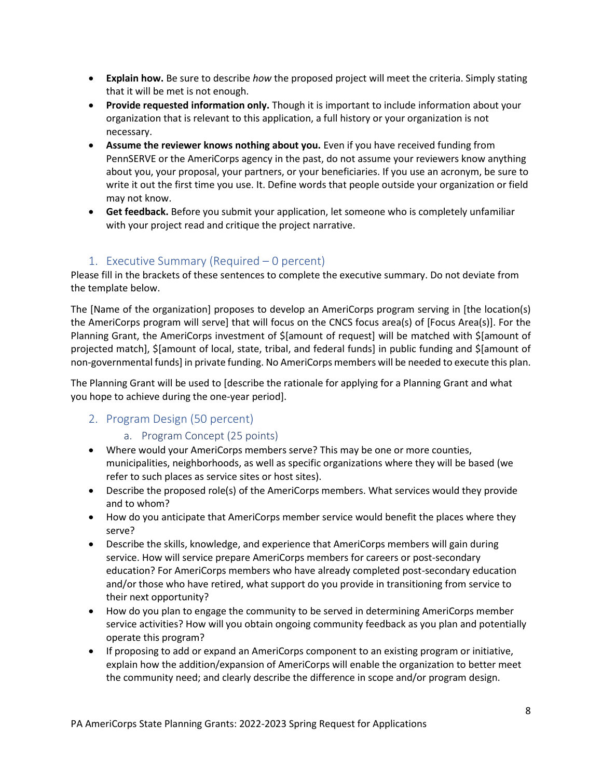- **Explain how.** Be sure to describe *how* the proposed project will meet the criteria. Simply stating that it will be met is not enough.
- **Provide requested information only.** Though it is important to include information about your organization that is relevant to this application, a full history or your organization is not necessary.
- **Assume the reviewer knows nothing about you.** Even if you have received funding from PennSERVE or the AmeriCorps agency in the past, do not assume your reviewers know anything about you, your proposal, your partners, or your beneficiaries. If you use an acronym, be sure to write it out the first time you use. It. Define words that people outside your organization or field may not know.
- **Get feedback.** Before you submit your application, let someone who is completely unfamiliar with your project read and critique the project narrative.

### 1. Executive Summary (Required – 0 percent)

<span id="page-7-0"></span>Please fill in the brackets of these sentences to complete the executive summary. Do not deviate from the template below.

The [Name of the organization] proposes to develop an AmeriCorps program serving in [the location(s) the AmeriCorps program will serve] that will focus on the CNCS focus area(s) of [Focus Area(s)]. For the Planning Grant, the AmeriCorps investment of \$[amount of request] will be matched with \$[amount of projected match], \$[amount of local, state, tribal, and federal funds] in public funding and \$[amount of non-governmental funds] in private funding. No AmeriCorps members will be needed to execute this plan.

The Planning Grant will be used to [describe the rationale for applying for a Planning Grant and what you hope to achieve during the one-year period].

### <span id="page-7-2"></span><span id="page-7-1"></span>2. Program Design (50 percent)

### a. Program Concept (25 points)

- Where would your AmeriCorps members serve? This may be one or more counties, municipalities, neighborhoods, as well as specific organizations where they will be based (we refer to such places as service sites or host sites).
- Describe the proposed role(s) of the AmeriCorps members. What services would they provide and to whom?
- How do you anticipate that AmeriCorps member service would benefit the places where they serve?
- Describe the skills, knowledge, and experience that AmeriCorps members will gain during service. How will service prepare AmeriCorps members for careers or post-secondary education? For AmeriCorps members who have already completed post-secondary education and/or those who have retired, what support do you provide in transitioning from service to their next opportunity?
- How do you plan to engage the community to be served in determining AmeriCorps member service activities? How will you obtain ongoing community feedback as you plan and potentially operate this program?
- If proposing to add or expand an AmeriCorps component to an existing program or initiative, explain how the addition/expansion of AmeriCorps will enable the organization to better meet the community need; and clearly describe the difference in scope and/or program design.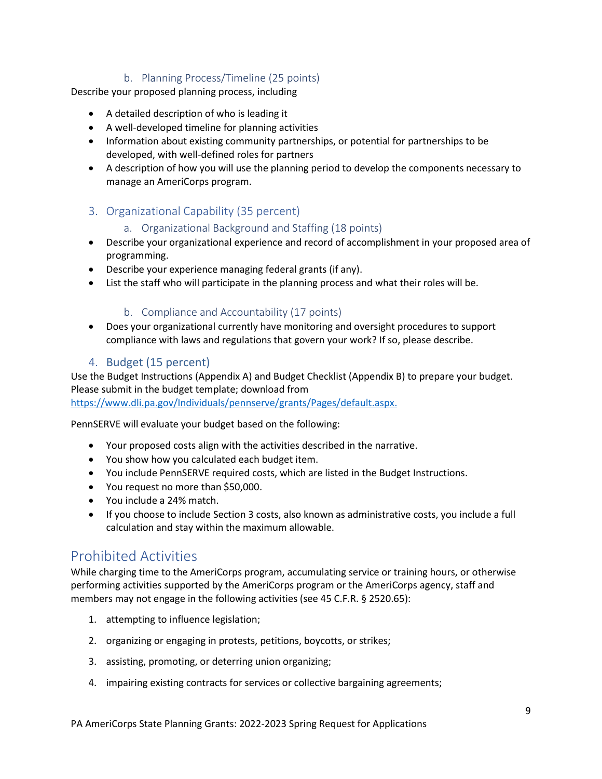### b. Planning Process/Timeline (25 points)

<span id="page-8-0"></span>Describe your proposed planning process, including

- A detailed description of who is leading it
- A well-developed timeline for planning activities
- Information about existing community partnerships, or potential for partnerships to be developed, with well-defined roles for partners
- A description of how you will use the planning period to develop the components necessary to manage an AmeriCorps program.

### <span id="page-8-2"></span><span id="page-8-1"></span>3. Organizational Capability (35 percent)

### a. Organizational Background and Staffing (18 points)

- Describe your organizational experience and record of accomplishment in your proposed area of programming.
- Describe your experience managing federal grants (if any).
- List the staff who will participate in the planning process and what their roles will be.

### b. Compliance and Accountability (17 points)

<span id="page-8-3"></span>• Does your organizational currently have monitoring and oversight procedures to support compliance with laws and regulations that govern your work? If so, please describe.

### 4. Budget (15 percent)

<span id="page-8-4"></span>Use the Budget Instructions (Appendix A) and Budget Checklist (Appendix B) to prepare your budget. Please submit in the budget template; download from [https://www.dli.pa.gov/Individuals/pennserve/grants/Pages/default.aspx.](https://www.dli.pa.gov/Individuals/pennserve/grants/Pages/default.aspx)

PennSERVE will evaluate your budget based on the following:

- Your proposed costs align with the activities described in the narrative.
- You show how you calculated each budget item.
- You include PennSERVE required costs, which are listed in the Budget Instructions.
- You request no more than \$50,000.
- You include a 24% match.
- If you choose to include Section 3 costs, also known as administrative costs, you include a full calculation and stay within the maximum allowable.

# <span id="page-8-5"></span>Prohibited Activities

While charging time to the AmeriCorps program, accumulating service or training hours, or otherwise performing activities supported by the AmeriCorps program or the AmeriCorps agency, staff and members may not engage in the following activities (see 45 C.F.R. § 2520.65):

- 1. attempting to influence legislation;
- 2. organizing or engaging in protests, petitions, boycotts, or strikes;
- 3. assisting, promoting, or deterring union organizing;
- 4. impairing existing contracts for services or collective bargaining agreements;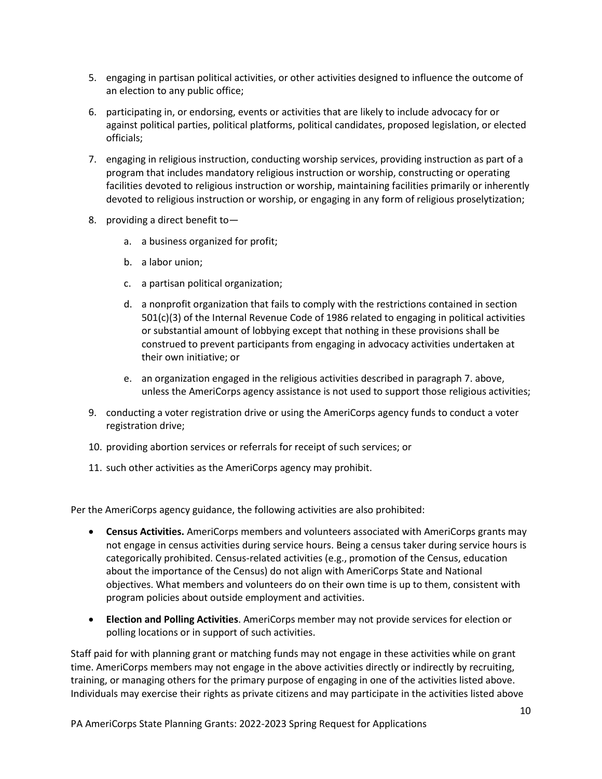- 5. engaging in partisan political activities, or other activities designed to influence the outcome of an election to any public office;
- 6. participating in, or endorsing, events or activities that are likely to include advocacy for or against political parties, political platforms, political candidates, proposed legislation, or elected officials;
- 7. engaging in religious instruction, conducting worship services, providing instruction as part of a program that includes mandatory religious instruction or worship, constructing or operating facilities devoted to religious instruction or worship, maintaining facilities primarily or inherently devoted to religious instruction or worship, or engaging in any form of religious proselytization;
- 8. providing a direct benefit to
	- a. a business organized for profit;
	- b. a labor union;
	- c. a partisan political organization;
	- d. a nonprofit organization that fails to comply with the restrictions contained in section 501(c)(3) of the Internal Revenue Code of 1986 related to engaging in political activities or substantial amount of lobbying except that nothing in these provisions shall be construed to prevent participants from engaging in advocacy activities undertaken at their own initiative; or
	- e. an organization engaged in the religious activities described in paragraph 7. above, unless the AmeriCorps agency assistance is not used to support those religious activities;
- 9. conducting a voter registration drive or using the AmeriCorps agency funds to conduct a voter registration drive;
- 10. providing abortion services or referrals for receipt of such services; or
- 11. such other activities as the AmeriCorps agency may prohibit.

Per the AmeriCorps agency guidance, the following activities are also prohibited:

- **Census Activities.** AmeriCorps members and volunteers associated with AmeriCorps grants may not engage in census activities during service hours. Being a census taker during service hours is categorically prohibited. Census-related activities (e.g., promotion of the Census, education about the importance of the Census) do not align with AmeriCorps State and National objectives. What members and volunteers do on their own time is up to them, consistent with program policies about outside employment and activities.
- **Election and Polling Activities**. AmeriCorps member may not provide services for election or polling locations or in support of such activities.

Staff paid for with planning grant or matching funds may not engage in these activities while on grant time. AmeriCorps members may not engage in the above activities directly or indirectly by recruiting, training, or managing others for the primary purpose of engaging in one of the activities listed above. Individuals may exercise their rights as private citizens and may participate in the activities listed above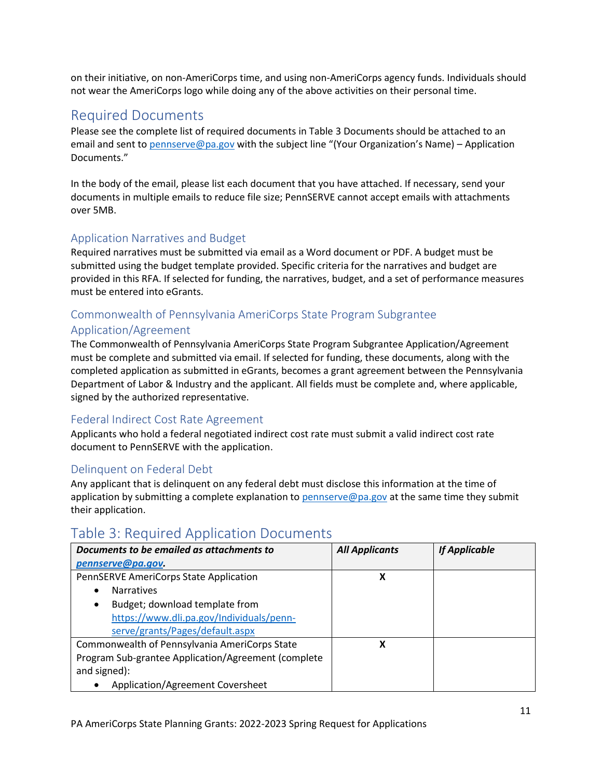on their initiative, on non-AmeriCorps time, and using non-AmeriCorps agency funds. Individuals should not wear the AmeriCorps logo while doing any of the above activities on their personal time.

## <span id="page-10-0"></span>Required Documents

Please see the complete list of required documents in Table 3 Documents should be attached to an email and sent to [pennserve@pa.gov](mailto:pennserve@pa.gov) with the subject line "(Your Organization's Name) – Application Documents."

In the body of the email, please list each document that you have attached. If necessary, send your documents in multiple emails to reduce file size; PennSERVE cannot accept emails with attachments over 5MB.

### <span id="page-10-1"></span>Application Narratives and Budget

Required narratives must be submitted via email as a Word document or PDF. A budget must be submitted using the budget template provided. Specific criteria for the narratives and budget are provided in this RFA. If selected for funding, the narratives, budget, and a set of performance measures must be entered into eGrants.

### <span id="page-10-2"></span>Commonwealth of Pennsylvania AmeriCorps State Program Subgrantee

### Application/Agreement

The Commonwealth of Pennsylvania AmeriCorps State Program Subgrantee Application/Agreement must be complete and submitted via email. If selected for funding, these documents, along with the completed application as submitted in eGrants, becomes a grant agreement between the Pennsylvania Department of Labor & Industry and the applicant. All fields must be complete and, where applicable, signed by the authorized representative.

### <span id="page-10-3"></span>Federal Indirect Cost Rate Agreement

Applicants who hold a federal negotiated indirect cost rate must submit a valid indirect cost rate document to PennSERVE with the application.

### <span id="page-10-4"></span>Delinquent on Federal Debt

Any applicant that is delinquent on any federal debt must disclose this information at the time of application by submitting a complete explanation to [pennserve@pa.gov](mailto:pennserve@pa.gov) at the same time they submit their application.

## <span id="page-10-5"></span>Table 3: Required Application Documents

| Documents to be emailed as attachments to           | <b>All Applicants</b> | <b>If Applicable</b> |
|-----------------------------------------------------|-----------------------|----------------------|
| pennserve@pa.gov.                                   |                       |                      |
| PennSERVE AmeriCorps State Application              | х                     |                      |
| <b>Narratives</b>                                   |                       |                      |
| Budget; download template from<br>$\bullet$         |                       |                      |
| https://www.dli.pa.gov/Individuals/penn-            |                       |                      |
| serve/grants/Pages/default.aspx                     |                       |                      |
| Commonwealth of Pennsylvania AmeriCorps State       | χ                     |                      |
| Program Sub-grantee Application/Agreement (complete |                       |                      |
| and signed):                                        |                       |                      |
| Application/Agreement Coversheet                    |                       |                      |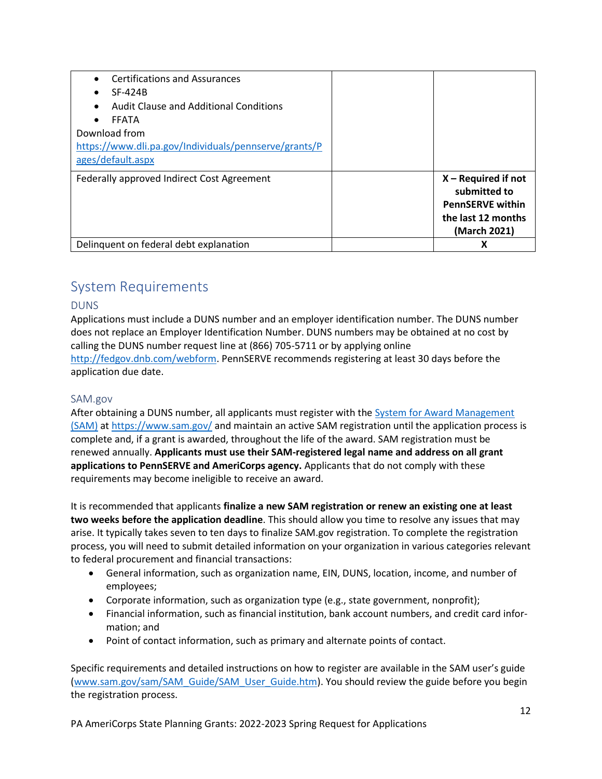| <b>Certifications and Assurances</b><br>SF-424B<br>Audit Clause and Additional Conditions<br><b>FFATA</b><br>Download from<br>https://www.dli.pa.gov/Individuals/pennserve/grants/P<br>ages/default.aspx |                                                                                                        |
|----------------------------------------------------------------------------------------------------------------------------------------------------------------------------------------------------------|--------------------------------------------------------------------------------------------------------|
| Federally approved Indirect Cost Agreement                                                                                                                                                               | $X - Required$ if not<br>submitted to<br><b>PennSERVE within</b><br>the last 12 months<br>(March 2021) |
| Delinquent on federal debt explanation                                                                                                                                                                   | χ                                                                                                      |

# <span id="page-11-0"></span>System Requirements

### <span id="page-11-1"></span>DUNS

Applications must include a DUNS number and an employer identification number. The DUNS number does not replace an Employer Identification Number. DUNS numbers may be obtained at no cost by calling the DUNS number request line at (866) 705-5711 or by applying online [http://fedgov.dnb.com/webform.](http://fedgov.dnb.com/webform) PennSERVE recommends registering at least 30 days before the application due date.

### <span id="page-11-2"></span>SAM.gov

After obtaining a DUNS number, all applicants must register with the [System for Award Management](http://www.sam.gov/)  [\(SAM\)](http://www.sam.gov/) at<https://www.sam.gov/> and maintain an active SAM registration until the application process is complete and, if a grant is awarded, throughout the life of the award. SAM registration must be renewed annually. **Applicants must use their SAM-registered legal name and address on all grant applications to PennSERVE and AmeriCorps agency.** Applicants that do not comply with these requirements may become ineligible to receive an award.

It is recommended that applicants **finalize a new SAM registration or renew an existing one at least two weeks before the application deadline**. This should allow you time to resolve any issues that may arise. It typically takes seven to ten days to finalize SAM.gov registration. To complete the registration process, you will need to submit detailed information on your organization in various categories relevant to federal procurement and financial transactions:

- General information, such as organization name, EIN, DUNS, location, income, and number of employees;
- Corporate information, such as organization type (e.g., state government, nonprofit);
- Financial information, such as financial institution, bank account numbers, and credit card information; and
- Point of contact information, such as primary and alternate points of contact.

Specific requirements and detailed instructions on how to register are available in the SAM user's guide [\(www.sam.gov/sam/SAM\\_Guide/SAM\\_User\\_Guide.htm\)](http://www.sam.gov/sam/SAM_Guide/SAM_User_Guide.htm). You should review the guide before you begin the registration process.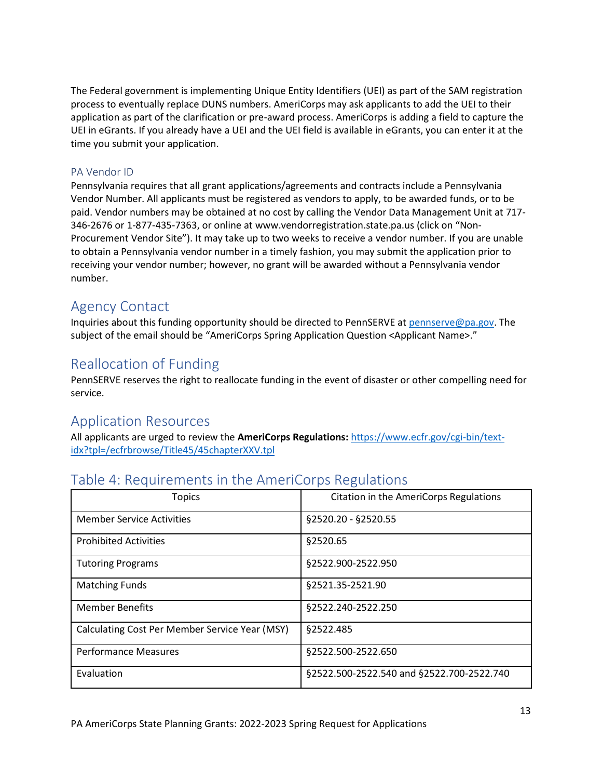The Federal government is implementing Unique Entity Identifiers (UEI) as part of the SAM registration process to eventually replace DUNS numbers. AmeriCorps may ask applicants to add the UEI to their application as part of the clarification or pre-award process. AmeriCorps is adding a field to capture the UEI in eGrants. If you already have a UEI and the UEI field is available in eGrants, you can enter it at the time you submit your application.

### <span id="page-12-0"></span>PA Vendor ID

Pennsylvania requires that all grant applications/agreements and contracts include a Pennsylvania Vendor Number. All applicants must be registered as vendors to apply, to be awarded funds, or to be paid. Vendor numbers may be obtained at no cost by calling the Vendor Data Management Unit at 717- 346-2676 or 1-877-435-7363, or online a[t www.vendorregistration.state.pa.us](http://www.vendorregistration.state.pa.us/) (click on "Non-Procurement Vendor Site"). It may take up to two weeks to receive a vendor number. If you are unable to obtain a Pennsylvania vendor number in a timely fashion, you may submit the application prior to receiving your vendor number; however, no grant will be awarded without a Pennsylvania vendor number.

## <span id="page-12-1"></span>Agency Contact

Inquiries about this funding opportunity should be directed to PennSERVE at [pennserve@pa.gov.](mailto:pennserve@pa.gov) The subject of the email should be "AmeriCorps Spring Application Question <Applicant Name>."

# <span id="page-12-2"></span>Reallocation of Funding

PennSERVE reserves the right to reallocate funding in the event of disaster or other compelling need for service.

## <span id="page-12-3"></span>Application Resources

All applicants are urged to review the **AmeriCorps Regulations:** [https://www.ecfr.gov/cgi-bin/text](https://www.ecfr.gov/cgi-bin/text-idx?tpl=/ecfrbrowse/Title45/45chapterXXV.tpl)[idx?tpl=/ecfrbrowse/Title45/45chapterXXV.tpl](https://www.ecfr.gov/cgi-bin/text-idx?tpl=/ecfrbrowse/Title45/45chapterXXV.tpl)

| <b>Topics</b>                                  | Citation in the AmeriCorps Regulations    |
|------------------------------------------------|-------------------------------------------|
| <b>Member Service Activities</b>               | §2520.20 - §2520.55                       |
| <b>Prohibited Activities</b>                   | §2520.65                                  |
| <b>Tutoring Programs</b>                       | §2522.900-2522.950                        |
| <b>Matching Funds</b>                          | §2521.35-2521.90                          |
| <b>Member Benefits</b>                         | §2522.240-2522.250                        |
| Calculating Cost Per Member Service Year (MSY) | §2522.485                                 |
| <b>Performance Measures</b>                    | §2522.500-2522.650                        |
| Evaluation                                     | §2522.500-2522.540 and §2522.700-2522.740 |

# <span id="page-12-4"></span>Table 4: Requirements in the AmeriCorps Regulations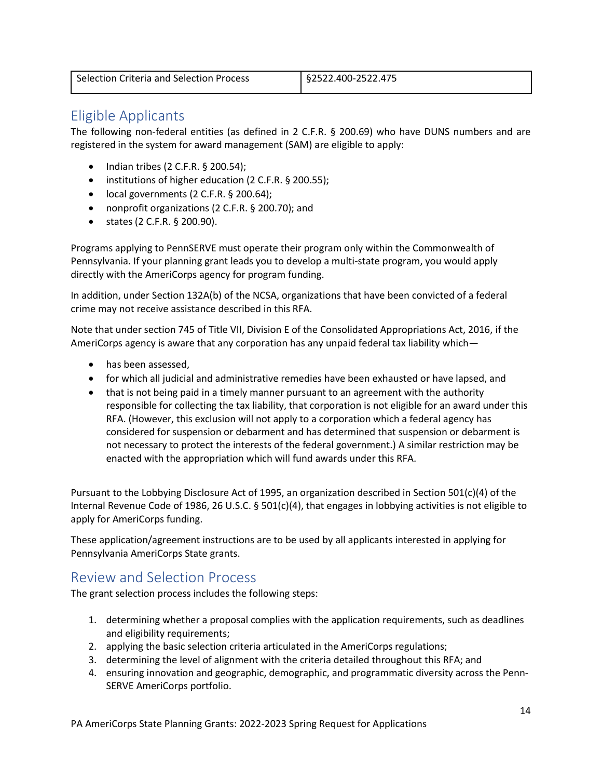## <span id="page-13-0"></span>Eligible Applicants

The following non-federal entities (as defined in 2 C.F.R. § 200.69) who have DUNS numbers and are registered in the system for award management (SAM) are eligible to apply:

- Indian tribes (2 C.F.R. § 200.54);
- institutions of higher education (2 C.F.R. § 200.55);
- local governments (2 C.F.R. § 200.64);
- nonprofit organizations (2 C.F.R. § 200.70); and
- states (2 C.F.R. § 200.90).

Programs applying to PennSERVE must operate their program only within the Commonwealth of Pennsylvania. If your planning grant leads you to develop a multi-state program, you would apply directly with the AmeriCorps agency for program funding.

In addition, under Section 132A(b) of the NCSA, organizations that have been convicted of a federal crime may not receive assistance described in this RFA.

Note that under section 745 of Title VII, Division E of the Consolidated Appropriations Act, 2016, if the AmeriCorps agency is aware that any corporation has any unpaid federal tax liability which—

- has been assessed,
- for which all judicial and administrative remedies have been exhausted or have lapsed, and
- that is not being paid in a timely manner pursuant to an agreement with the authority responsible for collecting the tax liability, that corporation is not eligible for an award under this RFA. (However, this exclusion will not apply to a corporation which a federal agency has considered for suspension or debarment and has determined that suspension or debarment is not necessary to protect the interests of the federal government.) A similar restriction may be enacted with the appropriation which will fund awards under this RFA.

Pursuant to the Lobbying Disclosure Act of 1995, an organization described in Section 501(c)(4) of the Internal Revenue Code of 1986, 26 U.S.C. § 501(c)(4), that engages in lobbying activities is not eligible to apply for AmeriCorps funding.

These application/agreement instructions are to be used by all applicants interested in applying for Pennsylvania AmeriCorps State grants.

# <span id="page-13-1"></span>Review and Selection Process

The grant selection process includes the following steps:

- 1. determining whether a proposal complies with the application requirements, such as deadlines and eligibility requirements;
- 2. applying the basic selection criteria articulated in the AmeriCorps regulations;
- 3. determining the level of alignment with the criteria detailed throughout this RFA; and
- 4. ensuring innovation and geographic, demographic, and programmatic diversity across the Penn-SERVE AmeriCorps portfolio.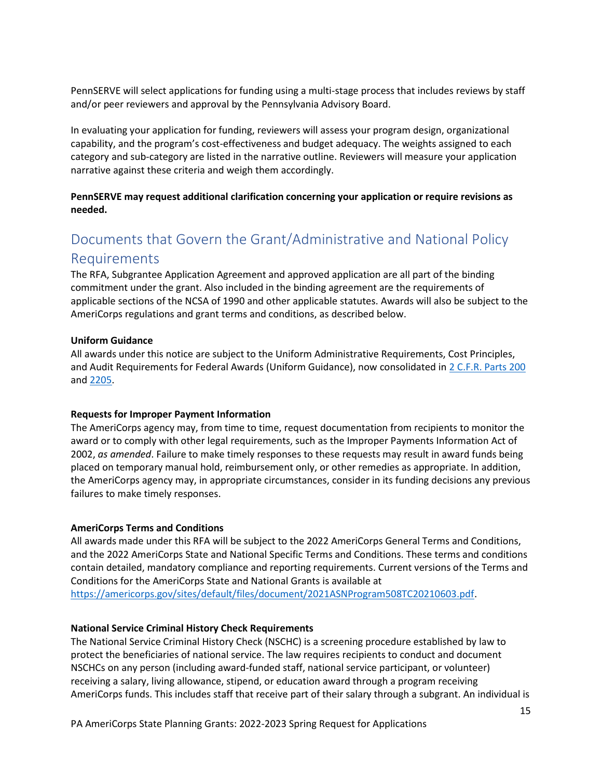PennSERVE will select applications for funding using a multi-stage process that includes reviews by staff and/or peer reviewers and approval by the Pennsylvania Advisory Board.

In evaluating your application for funding, reviewers will assess your program design, organizational capability, and the program's cost-effectiveness and budget adequacy. The weights assigned to each category and sub-category are listed in the narrative outline. Reviewers will measure your application narrative against these criteria and weigh them accordingly.

**PennSERVE may request additional clarification concerning your application or require revisions as needed.**

# <span id="page-14-0"></span>Documents that Govern the Grant/Administrative and National Policy Requirements

The RFA, Subgrantee Application Agreement and approved application are all part of the binding commitment under the grant. Also included in the binding agreement are the requirements of applicable sections of the NCSA of 1990 and other applicable statutes. Awards will also be subject to the AmeriCorps regulations and grant terms and conditions, as described below.

#### **Uniform Guidance**

All awards under this notice are subject to the Uniform Administrative Requirements, Cost Principles, and Audit Requirements for Federal Awards (Uniform Guidance), now consolidated in [2 C.F.R. Parts 200](http://www.ecfr.gov/cgi-bin/text-idx?SID=379c69c6a453c93b76142986a4ce5ad4&node=pt2.1.200&rgn=div5) and [2205.](http://www.ecfr.gov/cgi-bin/text-idx?SID=f7425ef67312ab84da9e76ed5d79dff7&node=pt2.1.2205&rgn=div5)

#### **Requests for Improper Payment Information**

The AmeriCorps agency may, from time to time, request documentation from recipients to monitor the award or to comply with other legal requirements, such as the Improper Payments Information Act of 2002, *as amended*. Failure to make timely responses to these requests may result in award funds being placed on temporary manual hold, reimbursement only, or other remedies as appropriate. In addition, the AmeriCorps agency may, in appropriate circumstances, consider in its funding decisions any previous failures to make timely responses.

#### **AmeriCorps Terms and Conditions**

All awards made under this RFA will be subject to the 2022 AmeriCorps General Terms and Conditions, and the 2022 AmeriCorps State and National Specific Terms and Conditions. These terms and conditions contain detailed, mandatory compliance and reporting requirements. Current versions of the Terms and Conditions for the AmeriCorps State and National Grants is available at [https://americorps.gov/sites/default/files/document/2021ASNProgram508TC20210603.pdf.](https://americorps.gov/sites/default/files/document/2021ASNProgram508TC20210603.pdf)

#### **National Service Criminal History Check Requirements**

The National Service Criminal History Check (NSCHC) is a screening procedure established by law to protect the beneficiaries of national service. The law requires recipients to conduct and document NSCHCs on any person (including award-funded staff, national service participant, or volunteer) receiving a salary, living allowance, stipend, or education award through a program receiving AmeriCorps funds. This includes staff that receive part of their salary through a subgrant. An individual is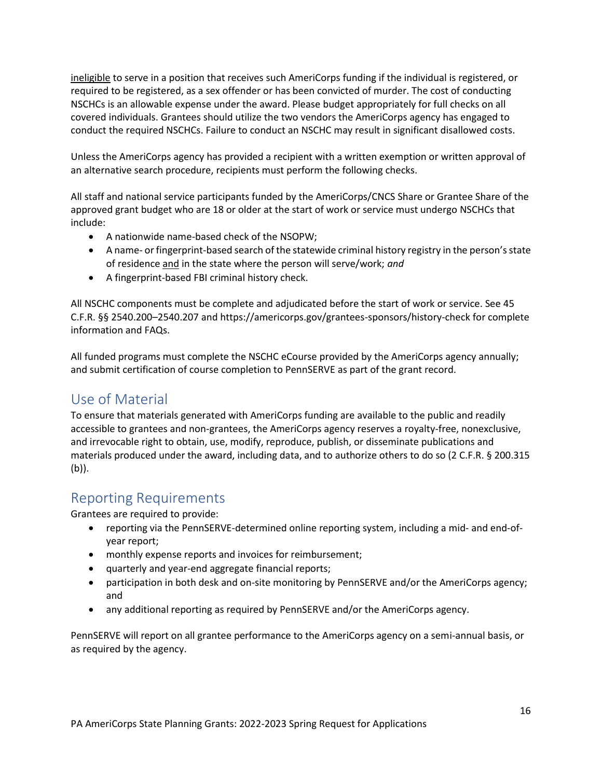ineligible to serve in a position that receives such AmeriCorps funding if the individual is registered, or required to be registered, as a sex offender or has been convicted of murder. The cost of conducting NSCHCs is an allowable expense under the award. Please budget appropriately for full checks on all covered individuals. Grantees should utilize the two vendors the AmeriCorps agency has engaged to conduct the required NSCHCs. Failure to conduct an NSCHC may result in significant disallowed costs.

Unless the AmeriCorps agency has provided a recipient with a written exemption or written approval of an alternative search procedure, recipients must perform the following checks.

All staff and national service participants funded by the AmeriCorps/CNCS Share or Grantee Share of the approved grant budget who are 18 or older at the start of work or service must undergo NSCHCs that include:

- A nationwide name-based check of the NSOPW;
- A name- or fingerprint-based search of the statewide criminal history registry in the person's state of residence and in the state where the person will serve/work; *and*
- A fingerprint-based FBI criminal history check.

All NSCHC components must be complete and adjudicated before the start of work or service. See 45 C.F.R. §§ 2540.200–2540.207 and https://americorps.gov/grantees-sponsors/history-check for complete information and FAQs.

All funded programs must complete the NSCHC eCourse provided by the AmeriCorps agency annually; and submit certification of course completion to PennSERVE as part of the grant record.

# <span id="page-15-0"></span>Use of Material

To ensure that materials generated with AmeriCorps funding are available to the public and readily accessible to grantees and non-grantees, the AmeriCorps agency reserves a royalty-free, nonexclusive, and irrevocable right to obtain, use, modify, reproduce, publish, or disseminate publications and materials produced under the award, including data, and to authorize others to do so (2 C.F.R. § 200.315 (b)).

## <span id="page-15-1"></span>Reporting Requirements

Grantees are required to provide:

- reporting via the PennSERVE-determined online reporting system, including a mid- and end-ofyear report;
- monthly expense reports and invoices for reimbursement;
- quarterly and year-end aggregate financial reports;
- participation in both desk and on-site monitoring by PennSERVE and/or the AmeriCorps agency; and
- any additional reporting as required by PennSERVE and/or the AmeriCorps agency.

PennSERVE will report on all grantee performance to the AmeriCorps agency on a semi-annual basis, or as required by the agency.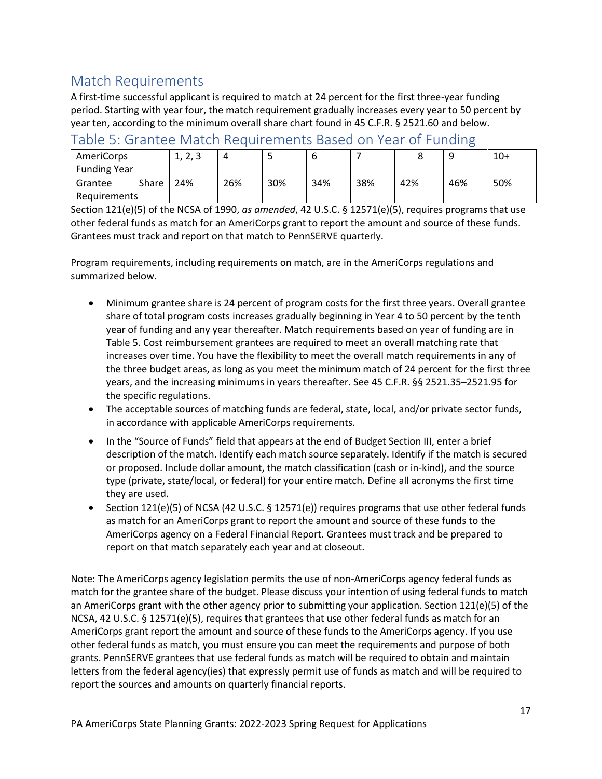# <span id="page-16-0"></span>Match Requirements

A first-time successful applicant is required to match at 24 percent for the first three-year funding period. Starting with year four, the match requirement gradually increases every year to 50 percent by year ten, according to the minimum overall share chart found in 45 C.F.R. § 2521.60 and below.

### <span id="page-16-1"></span>Table 5: Grantee Match Requirements Based on Year of Funding

| AmeriCorps          |       | າ ເ<br>د رے رے |     |     |     |     |     |     | $10+$ |
|---------------------|-------|----------------|-----|-----|-----|-----|-----|-----|-------|
| <b>Funding Year</b> |       |                |     |     |     |     |     |     |       |
| Grantee             | Share | 24%            | 26% | 30% | 34% | 38% | 42% | 46% | 50%   |
| Requirements        |       |                |     |     |     |     |     |     |       |

Section 121(e)(5) of the NCSA of 1990, *as amended*, 42 U.S.C. § 12571(e)(5), requires programs that use other federal funds as match for an AmeriCorps grant to report the amount and source of these funds. Grantees must track and report on that match to PennSERVE quarterly.

Program requirements, including requirements on match, are in the AmeriCorps regulations and summarized below.

- Minimum grantee share is 24 percent of program costs for the first three years. Overall grantee share of total program costs increases gradually beginning in Year 4 to 50 percent by the tenth year of funding and any year thereafter. Match requirements based on year of funding are in Table 5. Cost reimbursement grantees are required to meet an overall matching rate that increases over time. You have the flexibility to meet the overall match requirements in any of the three budget areas, as long as you meet the minimum match of 24 percent for the first three years, and the increasing minimums in years thereafter. See 45 C.F.R. §§ 2521.35–2521.95 for the specific regulations.
- The acceptable sources of matching funds are federal, state, local, and/or private sector funds, in accordance with applicable AmeriCorps requirements.
- In the "Source of Funds" field that appears at the end of Budget Section III, enter a brief description of the match. Identify each match source separately. Identify if the match is secured or proposed. Include dollar amount, the match classification (cash or in-kind), and the source type (private, state/local, or federal) for your entire match. Define all acronyms the first time they are used.
- Section 121(e)(5) of NCSA (42 U.S.C. § 12571(e)) requires programs that use other federal funds as match for an AmeriCorps grant to report the amount and source of these funds to the AmeriCorps agency on a Federal Financial Report. Grantees must track and be prepared to report on that match separately each year and at closeout.

Note: The AmeriCorps agency legislation permits the use of non-AmeriCorps agency federal funds as match for the grantee share of the budget. Please discuss your intention of using federal funds to match an AmeriCorps grant with the other agency prior to submitting your application. Section 121(e)(5) of the NCSA, 42 U.S.C. § 12571(e)(5), requires that grantees that use other federal funds as match for an AmeriCorps grant report the amount and source of these funds to the AmeriCorps agency. If you use other federal funds as match, you must ensure you can meet the requirements and purpose of both grants. PennSERVE grantees that use federal funds as match will be required to obtain and maintain letters from the federal agency(ies) that expressly permit use of funds as match and will be required to report the sources and amounts on quarterly financial reports.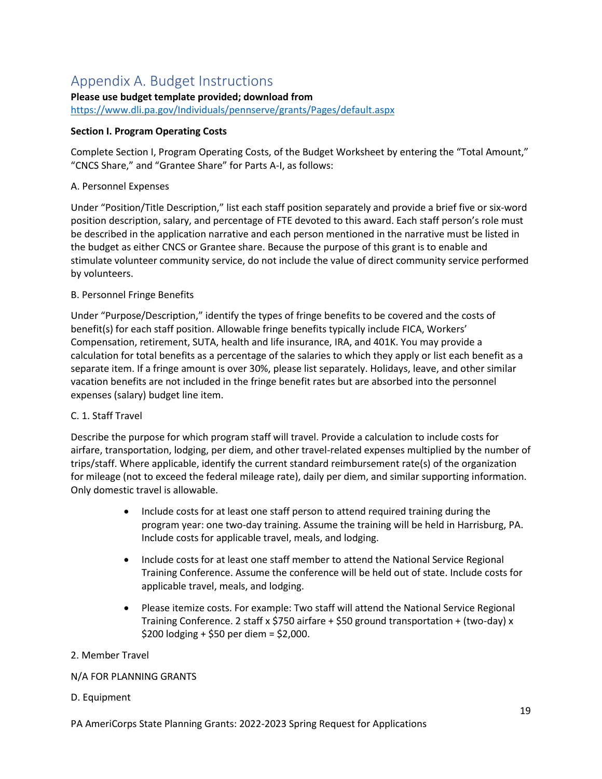# Appendix A. Budget Instructions

### **Please use budget template provided; download from**

<https://www.dli.pa.gov/Individuals/pennserve/grants/Pages/default.aspx>

### **Section I. Program Operating Costs**

Complete Section I, Program Operating Costs, of the Budget Worksheet by entering the "Total Amount," "CNCS Share," and "Grantee Share" for Parts A-I, as follows:

### A. Personnel Expenses

Under "Position/Title Description," list each staff position separately and provide a brief five or six-word position description, salary, and percentage of FTE devoted to this award. Each staff person's role must be described in the application narrative and each person mentioned in the narrative must be listed in the budget as either CNCS or Grantee share. Because the purpose of this grant is to enable and stimulate volunteer community service, do not include the value of direct community service performed by volunteers.

### B. Personnel Fringe Benefits

Under "Purpose/Description," identify the types of fringe benefits to be covered and the costs of benefit(s) for each staff position. Allowable fringe benefits typically include FICA, Workers' Compensation, retirement, SUTA, health and life insurance, IRA, and 401K. You may provide a calculation for total benefits as a percentage of the salaries to which they apply or list each benefit as a separate item. If a fringe amount is over 30%, please list separately. Holidays, leave, and other similar vacation benefits are not included in the fringe benefit rates but are absorbed into the personnel expenses (salary) budget line item.

## C. 1. Staff Travel

Describe the purpose for which program staff will travel. Provide a calculation to include costs for airfare, transportation, lodging, per diem, and other travel-related expenses multiplied by the number of trips/staff. Where applicable, identify the current standard reimbursement rate(s) of the organization for mileage (not to exceed the federal mileage rate), daily per diem, and similar supporting information. Only domestic travel is allowable.

- Include costs for at least one staff person to attend required training during the program year: one two-day training. Assume the training will be held in Harrisburg, PA. Include costs for applicable travel, meals, and lodging.
- Include costs for at least one staff member to attend the National Service Regional Training Conference. Assume the conference will be held out of state. Include costs for applicable travel, meals, and lodging.
- Please itemize costs. For example: Two staff will attend the National Service Regional Training Conference. 2 staff x \$750 airfare + \$50 ground transportation + (two-day) x \$200 lodging + \$50 per diem = \$2,000.

### 2. Member Travel

## N/A FOR PLANNING GRANTS

### D. Equipment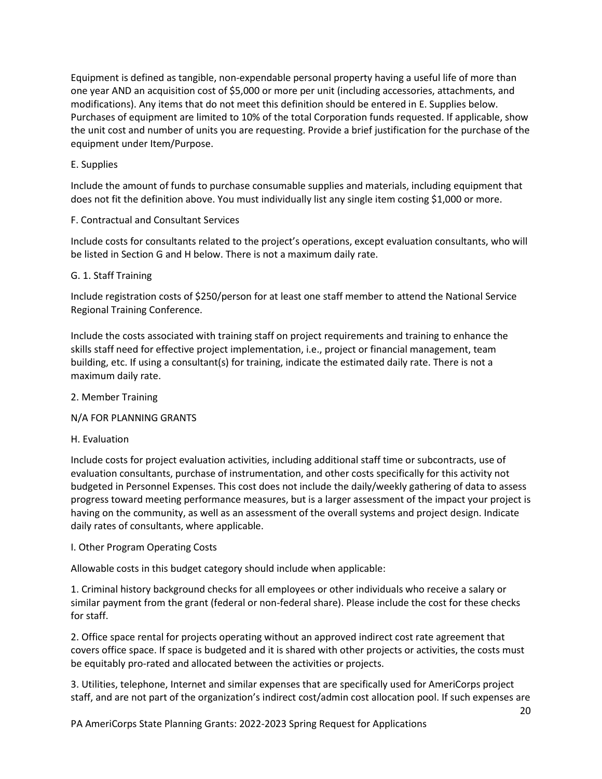Equipment is defined as tangible, non-expendable personal property having a useful life of more than one year AND an acquisition cost of \$5,000 or more per unit (including accessories, attachments, and modifications). Any items that do not meet this definition should be entered in E. Supplies below. Purchases of equipment are limited to 10% of the total Corporation funds requested. If applicable, show the unit cost and number of units you are requesting. Provide a brief justification for the purchase of the equipment under Item/Purpose.

### E. Supplies

Include the amount of funds to purchase consumable supplies and materials, including equipment that does not fit the definition above. You must individually list any single item costing \$1,000 or more.

### F. Contractual and Consultant Services

Include costs for consultants related to the project's operations, except evaluation consultants, who will be listed in Section G and H below. There is not a maximum daily rate.

### G. 1. Staff Training

Include registration costs of \$250/person for at least one staff member to attend the National Service Regional Training Conference.

Include the costs associated with training staff on project requirements and training to enhance the skills staff need for effective project implementation, i.e., project or financial management, team building, etc. If using a consultant(s) for training, indicate the estimated daily rate. There is not a maximum daily rate.

#### 2. Member Training

#### N/A FOR PLANNING GRANTS

#### H. Evaluation

Include costs for project evaluation activities, including additional staff time or subcontracts, use of evaluation consultants, purchase of instrumentation, and other costs specifically for this activity not budgeted in Personnel Expenses. This cost does not include the daily/weekly gathering of data to assess progress toward meeting performance measures, but is a larger assessment of the impact your project is having on the community, as well as an assessment of the overall systems and project design. Indicate daily rates of consultants, where applicable.

#### I. Other Program Operating Costs

Allowable costs in this budget category should include when applicable:

1. Criminal history background checks for all employees or other individuals who receive a salary or similar payment from the grant (federal or non-federal share). Please include the cost for these checks for staff.

2. Office space rental for projects operating without an approved indirect cost rate agreement that covers office space. If space is budgeted and it is shared with other projects or activities, the costs must be equitably pro-rated and allocated between the activities or projects.

3. Utilities, telephone, Internet and similar expenses that are specifically used for AmeriCorps project staff, and are not part of the organization's indirect cost/admin cost allocation pool. If such expenses are

PA AmeriCorps State Planning Grants: 2022-2023 Spring Request for Applications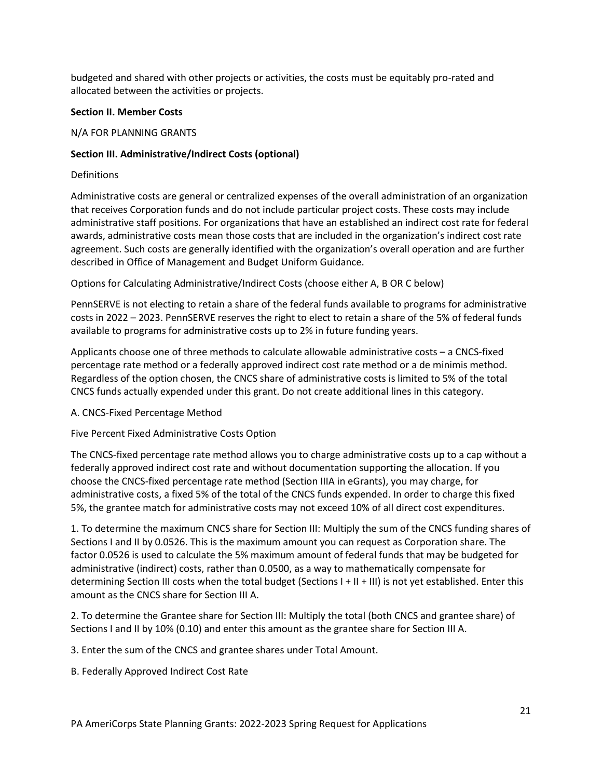budgeted and shared with other projects or activities, the costs must be equitably pro-rated and allocated between the activities or projects.

#### **Section II. Member Costs**

#### N/A FOR PLANNING GRANTS

### **Section III. Administrative/Indirect Costs (optional)**

**Definitions** 

Administrative costs are general or centralized expenses of the overall administration of an organization that receives Corporation funds and do not include particular project costs. These costs may include administrative staff positions. For organizations that have an established an indirect cost rate for federal awards, administrative costs mean those costs that are included in the organization's indirect cost rate agreement. Such costs are generally identified with the organization's overall operation and are further described in Office of Management and Budget Uniform Guidance.

Options for Calculating Administrative/Indirect Costs (choose either A, B OR C below)

PennSERVE is not electing to retain a share of the federal funds available to programs for administrative costs in 2022 – 2023. PennSERVE reserves the right to elect to retain a share of the 5% of federal funds available to programs for administrative costs up to 2% in future funding years.

Applicants choose one of three methods to calculate allowable administrative costs – a CNCS-fixed percentage rate method or a federally approved indirect cost rate method or a de minimis method. Regardless of the option chosen, the CNCS share of administrative costs is limited to 5% of the total CNCS funds actually expended under this grant. Do not create additional lines in this category.

A. CNCS-Fixed Percentage Method

Five Percent Fixed Administrative Costs Option

The CNCS-fixed percentage rate method allows you to charge administrative costs up to a cap without a federally approved indirect cost rate and without documentation supporting the allocation. If you choose the CNCS-fixed percentage rate method (Section IIIA in eGrants), you may charge, for administrative costs, a fixed 5% of the total of the CNCS funds expended. In order to charge this fixed 5%, the grantee match for administrative costs may not exceed 10% of all direct cost expenditures.

1. To determine the maximum CNCS share for Section III: Multiply the sum of the CNCS funding shares of Sections I and II by 0.0526. This is the maximum amount you can request as Corporation share. The factor 0.0526 is used to calculate the 5% maximum amount of federal funds that may be budgeted for administrative (indirect) costs, rather than 0.0500, as a way to mathematically compensate for determining Section III costs when the total budget (Sections I + II + III) is not yet established. Enter this amount as the CNCS share for Section III A.

2. To determine the Grantee share for Section III: Multiply the total (both CNCS and grantee share) of Sections I and II by 10% (0.10) and enter this amount as the grantee share for Section III A.

3. Enter the sum of the CNCS and grantee shares under Total Amount.

B. Federally Approved Indirect Cost Rate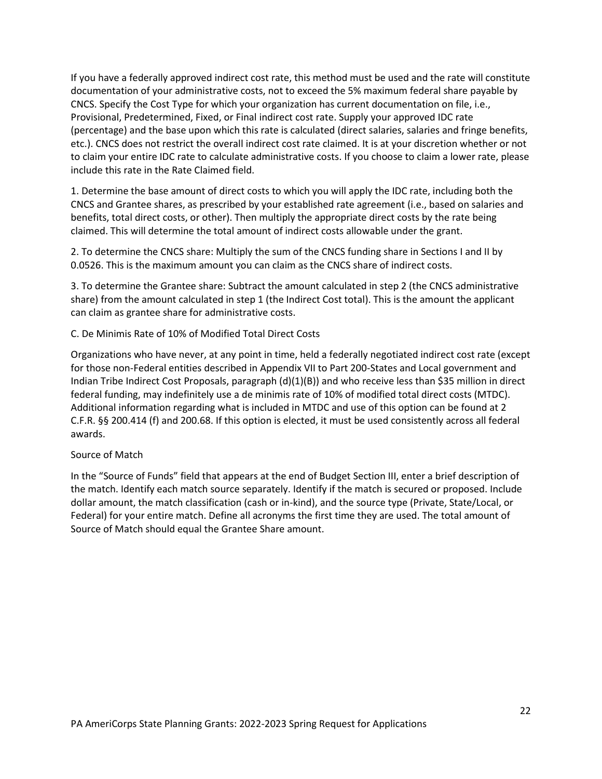If you have a federally approved indirect cost rate, this method must be used and the rate will constitute documentation of your administrative costs, not to exceed the 5% maximum federal share payable by CNCS. Specify the Cost Type for which your organization has current documentation on file, i.e., Provisional, Predetermined, Fixed, or Final indirect cost rate. Supply your approved IDC rate (percentage) and the base upon which this rate is calculated (direct salaries, salaries and fringe benefits, etc.). CNCS does not restrict the overall indirect cost rate claimed. It is at your discretion whether or not to claim your entire IDC rate to calculate administrative costs. If you choose to claim a lower rate, please include this rate in the Rate Claimed field.

1. Determine the base amount of direct costs to which you will apply the IDC rate, including both the CNCS and Grantee shares, as prescribed by your established rate agreement (i.e., based on salaries and benefits, total direct costs, or other). Then multiply the appropriate direct costs by the rate being claimed. This will determine the total amount of indirect costs allowable under the grant.

2. To determine the CNCS share: Multiply the sum of the CNCS funding share in Sections I and II by 0.0526. This is the maximum amount you can claim as the CNCS share of indirect costs.

3. To determine the Grantee share: Subtract the amount calculated in step 2 (the CNCS administrative share) from the amount calculated in step 1 (the Indirect Cost total). This is the amount the applicant can claim as grantee share for administrative costs.

C. De Minimis Rate of 10% of Modified Total Direct Costs

Organizations who have never, at any point in time, held a federally negotiated indirect cost rate (except for those non-Federal entities described in Appendix VII to Part 200-States and Local government and Indian Tribe Indirect Cost Proposals, paragraph (d)(1)(B)) and who receive less than \$35 million in direct federal funding, may indefinitely use a de minimis rate of 10% of modified total direct costs (MTDC). Additional information regarding what is included in MTDC and use of this option can be found at 2 C.F.R. §§ 200.414 (f) and 200.68. If this option is elected, it must be used consistently across all federal awards.

#### Source of Match

<span id="page-21-0"></span>In the "Source of Funds" field that appears at the end of Budget Section III, enter a brief description of the match. Identify each match source separately. Identify if the match is secured or proposed. Include dollar amount, the match classification (cash or in-kind), and the source type (Private, State/Local, or Federal) for your entire match. Define all acronyms the first time they are used. The total amount of Source of Match should equal the Grantee Share amount.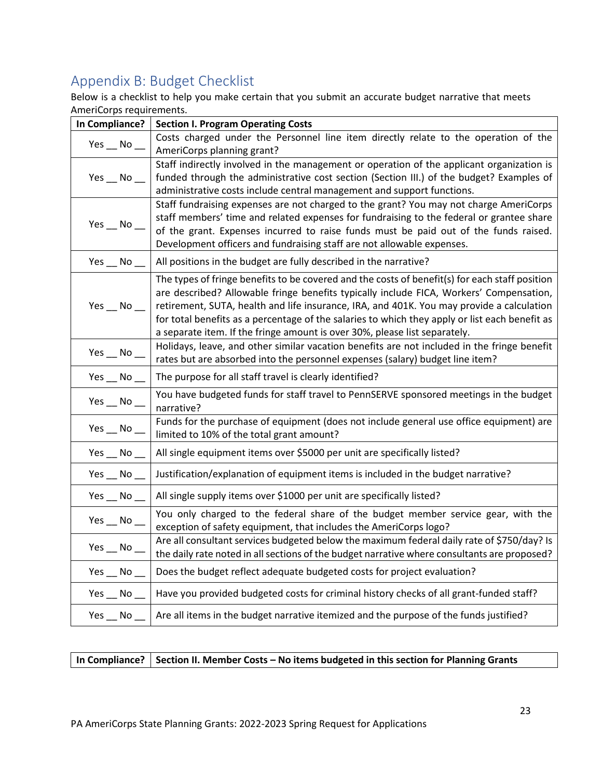# Appendix B: Budget Checklist

Below is a checklist to help you make certain that you submit an accurate budget narrative that meets AmeriCorps requirements.

| In Compliance?              | <b>Section I. Program Operating Costs</b>                                                                                                                                                                                                                                                                                                                                                                                                                              |
|-----------------------------|------------------------------------------------------------------------------------------------------------------------------------------------------------------------------------------------------------------------------------------------------------------------------------------------------------------------------------------------------------------------------------------------------------------------------------------------------------------------|
| Yes $\_\$ No $\_\$          | Costs charged under the Personnel line item directly relate to the operation of the<br>AmeriCorps planning grant?                                                                                                                                                                                                                                                                                                                                                      |
| Yes $\_\$ No $\_\$          | Staff indirectly involved in the management or operation of the applicant organization is<br>funded through the administrative cost section (Section III.) of the budget? Examples of<br>administrative costs include central management and support functions.                                                                                                                                                                                                        |
| Yes $\_\$ No $\_\$          | Staff fundraising expenses are not charged to the grant? You may not charge AmeriCorps<br>staff members' time and related expenses for fundraising to the federal or grantee share<br>of the grant. Expenses incurred to raise funds must be paid out of the funds raised.<br>Development officers and fundraising staff are not allowable expenses.                                                                                                                   |
| Yes $\_\,$ No $\_\$         | All positions in the budget are fully described in the narrative?                                                                                                                                                                                                                                                                                                                                                                                                      |
| Yes $\_\!\_\!\$ No $\_\!\_$ | The types of fringe benefits to be covered and the costs of benefit(s) for each staff position<br>are described? Allowable fringe benefits typically include FICA, Workers' Compensation,<br>retirement, SUTA, health and life insurance, IRA, and 401K. You may provide a calculation<br>for total benefits as a percentage of the salaries to which they apply or list each benefit as<br>a separate item. If the fringe amount is over 30%, please list separately. |
| $Yes$ $No$ $\_$             | Holidays, leave, and other similar vacation benefits are not included in the fringe benefit<br>rates but are absorbed into the personnel expenses (salary) budget line item?                                                                                                                                                                                                                                                                                           |
| Yes $\_\$ No $\_\_$         | The purpose for all staff travel is clearly identified?                                                                                                                                                                                                                                                                                                                                                                                                                |
| Yes $\_\,$ No $\_$          | You have budgeted funds for staff travel to PennSERVE sponsored meetings in the budget<br>narrative?                                                                                                                                                                                                                                                                                                                                                                   |
| $Yes$ __ No __              | Funds for the purchase of equipment (does not include general use office equipment) are<br>limited to 10% of the total grant amount?                                                                                                                                                                                                                                                                                                                                   |
| Yes $\_\$ No $\_\$          | All single equipment items over \$5000 per unit are specifically listed?                                                                                                                                                                                                                                                                                                                                                                                               |
| Yes $\_\$ No $\_\$          | Justification/explanation of equipment items is included in the budget narrative?                                                                                                                                                                                                                                                                                                                                                                                      |
| Yes $\_\$ No $\_\$          | All single supply items over \$1000 per unit are specifically listed?                                                                                                                                                                                                                                                                                                                                                                                                  |
| Yes $\_\,$ No $\_\$         | You only charged to the federal share of the budget member service gear, with the<br>exception of safety equipment, that includes the AmeriCorps logo?                                                                                                                                                                                                                                                                                                                 |
| $Yes$ __ No __              | Are all consultant services budgeted below the maximum federal daily rate of \$750/day? Is<br>the daily rate noted in all sections of the budget narrative where consultants are proposed?                                                                                                                                                                                                                                                                             |
| Yes $\_\$ No $\_\$          | Does the budget reflect adequate budgeted costs for project evaluation?                                                                                                                                                                                                                                                                                                                                                                                                |
| Yes $\_\$ No $\_\$          | Have you provided budgeted costs for criminal history checks of all grant-funded staff?                                                                                                                                                                                                                                                                                                                                                                                |
|                             | Yes $\_\,$ No $\_\,$   Are all items in the budget narrative itemized and the purpose of the funds justified?                                                                                                                                                                                                                                                                                                                                                          |

In Compliance? | Section II. Member Costs – No items budgeted in this section for Planning Grants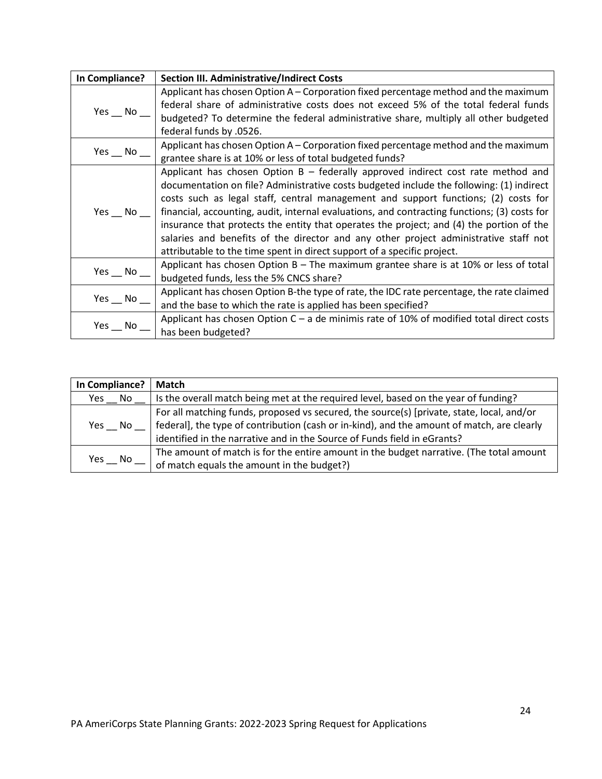| In Compliance?      | <b>Section III. Administrative/Indirect Costs</b>                                            |
|---------------------|----------------------------------------------------------------------------------------------|
| Yes $\_\,$ No $\_$  | Applicant has chosen Option $A -$ Corporation fixed percentage method and the maximum        |
|                     | federal share of administrative costs does not exceed 5% of the total federal funds          |
|                     | budgeted? To determine the federal administrative share, multiply all other budgeted         |
|                     | federal funds by .0526.                                                                      |
| Yes $\_\,$ No $\_\$ | Applicant has chosen Option A – Corporation fixed percentage method and the maximum          |
|                     | grantee share is at 10% or less of total budgeted funds?                                     |
|                     | Applicant has chosen Option $B -$ federally approved indirect cost rate method and           |
|                     | documentation on file? Administrative costs budgeted include the following: (1) indirect     |
|                     | costs such as legal staff, central management and support functions; (2) costs for           |
| Yes $\_\,$ No $\_\$ | financial, accounting, audit, internal evaluations, and contracting functions; (3) costs for |
|                     | insurance that protects the entity that operates the project; and (4) the portion of the     |
|                     | salaries and benefits of the director and any other project administrative staff not         |
|                     | attributable to the time spent in direct support of a specific project.                      |
|                     | Applicant has chosen Option B - The maximum grantee share is at 10% or less of total         |
| $Yes$ No            | budgeted funds, less the 5% CNCS share?                                                      |
| Yes $\_\,$ No $\_\$ | Applicant has chosen Option B-the type of rate, the IDC rate percentage, the rate claimed    |
|                     | and the base to which the rate is applied has been specified?                                |
| Yes $\_\,$ No $\_\$ | Applicant has chosen Option $C - a$ de minimis rate of 10% of modified total direct costs    |
|                     | has been budgeted?                                                                           |

<span id="page-23-0"></span>

| In Compliance? | Match                                                                                                                                                                                                                                                               |
|----------------|---------------------------------------------------------------------------------------------------------------------------------------------------------------------------------------------------------------------------------------------------------------------|
| No<br>Yes      | Is the overall match being met at the required level, based on the year of funding?                                                                                                                                                                                 |
| Yes No         | For all matching funds, proposed vs secured, the source(s) [private, state, local, and/or<br>federal], the type of contribution (cash or in-kind), and the amount of match, are clearly<br>identified in the narrative and in the Source of Funds field in eGrants? |
| Yes<br>No.     | The amount of match is for the entire amount in the budget narrative. (The total amount<br>of match equals the amount in the budget?)                                                                                                                               |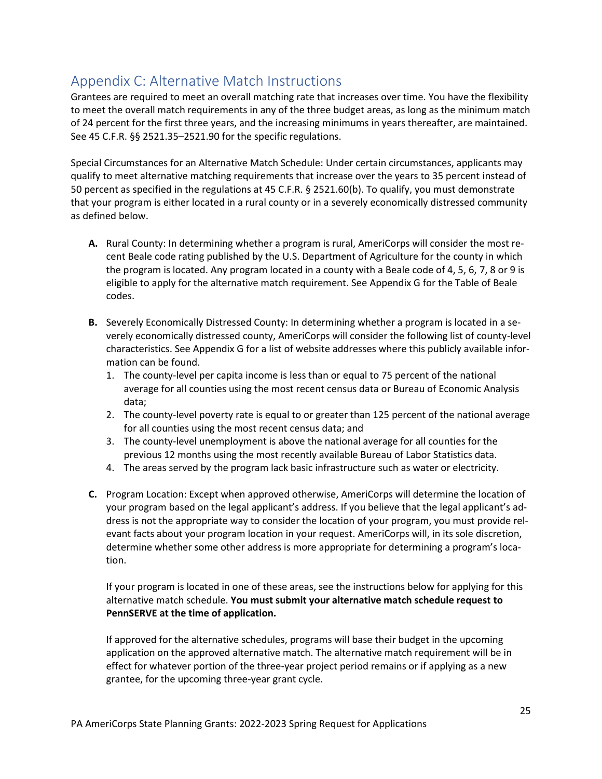# Appendix C: Alternative Match Instructions

Grantees are required to meet an overall matching rate that increases over time. You have the flexibility to meet the overall match requirements in any of the three budget areas, as long as the minimum match of 24 percent for the first three years, and the increasing minimums in years thereafter, are maintained. See 45 C.F.R. §§ 2521.35–2521.90 for the specific regulations.

Special Circumstances for an Alternative Match Schedule: Under certain circumstances, applicants may qualify to meet alternative matching requirements that increase over the years to 35 percent instead of 50 percent as specified in the regulations at 45 C.F.R. § 2521.60(b). To qualify, you must demonstrate that your program is either located in a rural county or in a severely economically distressed community as defined below.

- **A.** Rural County: In determining whether a program is rural, AmeriCorps will consider the most recent Beale code rating published by the U.S. Department of Agriculture for the county in which the program is located. Any program located in a county with a Beale code of 4, 5, 6, 7, 8 or 9 is eligible to apply for the alternative match requirement. See Appendix G for the Table of Beale codes.
- **B.** Severely Economically Distressed County: In determining whether a program is located in a severely economically distressed county, AmeriCorps will consider the following list of county-level characteristics. See Appendix G for a list of website addresses where this publicly available information can be found.
	- 1. The county-level per capita income is less than or equal to 75 percent of the national average for all counties using the most recent census data or Bureau of Economic Analysis data;
	- 2. The county-level poverty rate is equal to or greater than 125 percent of the national average for all counties using the most recent census data; and
	- 3. The county-level unemployment is above the national average for all counties for the previous 12 months using the most recently available Bureau of Labor Statistics data.
	- 4. The areas served by the program lack basic infrastructure such as water or electricity.
- **C.** Program Location: Except when approved otherwise, AmeriCorps will determine the location of your program based on the legal applicant's address. If you believe that the legal applicant's address is not the appropriate way to consider the location of your program, you must provide relevant facts about your program location in your request. AmeriCorps will, in its sole discretion, determine whether some other address is more appropriate for determining a program's location.

If your program is located in one of these areas, see the instructions below for applying for this alternative match schedule. **You must submit your alternative match schedule request to PennSERVE at the time of application.**

If approved for the alternative schedules, programs will base their budget in the upcoming application on the approved alternative match. The alternative match requirement will be in effect for whatever portion of the three-year project period remains or if applying as a new grantee, for the upcoming three-year grant cycle.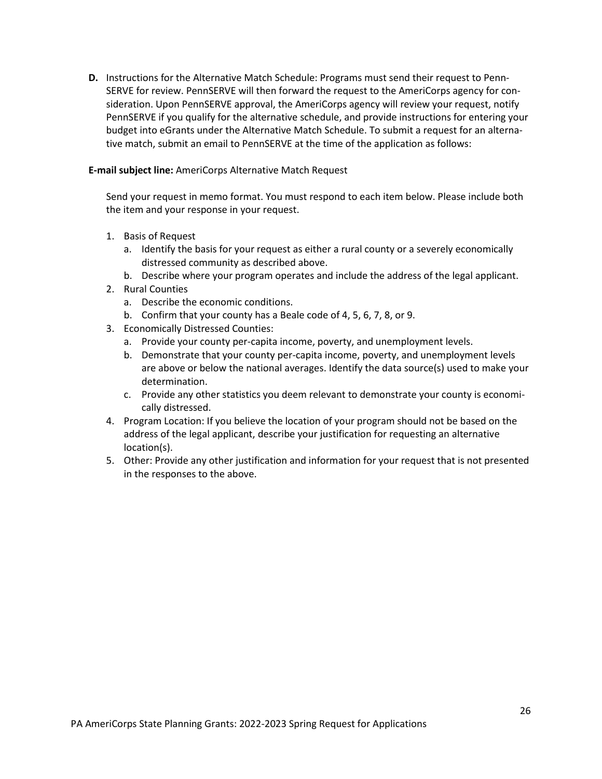**D.** Instructions for the Alternative Match Schedule: Programs must send their request to Penn-SERVE for review. PennSERVE will then forward the request to the AmeriCorps agency for consideration. Upon PennSERVE approval, the AmeriCorps agency will review your request, notify PennSERVE if you qualify for the alternative schedule, and provide instructions for entering your budget into eGrants under the Alternative Match Schedule. To submit a request for an alternative match, submit an email to PennSERVE at the time of the application as follows:

#### **E-mail subject line:** AmeriCorps Alternative Match Request

Send your request in memo format. You must respond to each item below. Please include both the item and your response in your request.

- 1. Basis of Request
	- a. Identify the basis for your request as either a rural county or a severely economically distressed community as described above.
	- b. Describe where your program operates and include the address of the legal applicant.
- 2. Rural Counties
	- a. Describe the economic conditions.
	- b. Confirm that your county has a Beale code of 4, 5, 6, 7, 8, or 9.
- 3. Economically Distressed Counties:
	- a. Provide your county per-capita income, poverty, and unemployment levels.
	- b. Demonstrate that your county per-capita income, poverty, and unemployment levels are above or below the national averages. Identify the data source(s) used to make your determination.
	- c. Provide any other statistics you deem relevant to demonstrate your county is economically distressed.
- 4. Program Location: If you believe the location of your program should not be based on the address of the legal applicant, describe your justification for requesting an alternative location(s).
- <span id="page-25-0"></span>5. Other: Provide any other justification and information for your request that is not presented in the responses to the above.